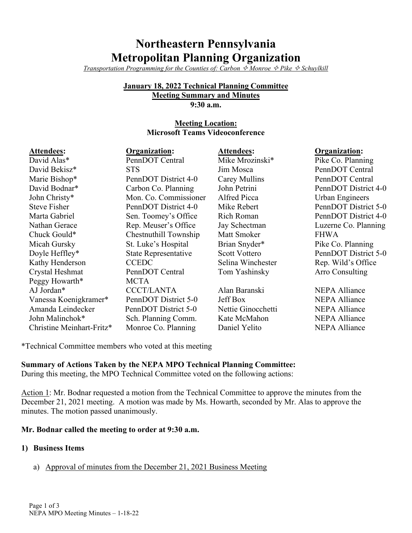# **Northeastern Pennsylvania Metropolitan Planning Organization**

*Transportation Programming for the Counties of: Carbon*  $\Diamond$  *Monroe*  $\Diamond$  *Pike*  $\Diamond$  *Schuylkill* 

#### **January 18, 2022 Technical Planning Committee Meeting Summary and Minutes**

**9:30 a.m.**

#### **Meeting Location: Microsoft Teams Videoconference**

| Attendees:                | Organization:         | <b>Attendees:</b>  | <b>Organization:</b>   |
|---------------------------|-----------------------|--------------------|------------------------|
| David Alas*               | PennDOT Central       | Mike Mrozinski*    | Pike Co. Planning      |
| David Bekisz*             | <b>STS</b>            | Jim Mosca          | PennDOT Central        |
| Marie Bishop*             | PennDOT District 4-0  | Carey Mullins      | PennDOT Central        |
| David Bodnar*             | Carbon Co. Planning   | John Petrini       | PennDOT District 4-0   |
| John Christy*             | Mon. Co. Commissioner | Alfred Picca       | Urban Engineers        |
| <b>Steve Fisher</b>       | PennDOT District 4-0  | Mike Rebert        | PennDOT District 5-0   |
| Marta Gabriel             | Sen. Toomey's Office  | <b>Rich Roman</b>  | PennDOT District 4-0   |
| Nathan Gerace             | Rep. Meuser's Office  | Jay Schectman      | Luzerne Co. Planning   |
| Chuck Gould*              | Chestnuthill Township | Matt Smoker        | <b>FHWA</b>            |
| Micah Gursky              | St. Luke's Hospital   | Brian Snyder*      | Pike Co. Planning      |
| Doyle Heffley*            | State Representative  | Scott Vottero      | PennDOT District 5-0   |
| Kathy Henderson           | <b>CCEDC</b>          | Selina Winchester  | Rep. Wild's Office     |
| Crystal Heshmat           | PennDOT Central       | Tom Yashinsky      | <b>Arro Consulting</b> |
| Peggy Howarth*            | MCTA                  |                    |                        |
| AJ Jordan*                | <b>CCCT/LANTA</b>     | Alan Baranski      | <b>NEPA Alliance</b>   |
| Vanessa Koenigkramer*     | PennDOT District 5-0  | <b>Jeff Box</b>    | <b>NEPA Alliance</b>   |
| Amanda Leindecker         | PennDOT District 5-0  | Nettie Ginocchetti | <b>NEPA Alliance</b>   |
| John Malinchok*           | Sch. Planning Comm.   | Kate McMahon       | <b>NEPA Alliance</b>   |
| Christine Meinhart-Fritz* | Monroe Co. Planning   | Daniel Yelito      | <b>NEPA Alliance</b>   |

\*Technical Committee members who voted at this meeting

# **Summary of Actions Taken by the NEPA MPO Technical Planning Committee:**

During this meeting, the MPO Technical Committee voted on the following actions:

Action 1: Mr. Bodnar requested a motion from the Technical Committee to approve the minutes from the December 21, 2021 meeting. A motion was made by Ms. Howarth, seconded by Mr. Alas to approve the minutes. The motion passed unanimously.

#### **Mr. Bodnar called the meeting to order at 9:30 a.m.**

#### **1) Business Items**

a) Approval of minutes from the December 21, 2021 Business Meeting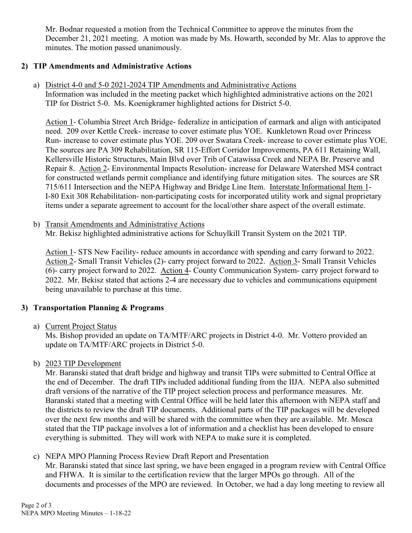Mr. Bodnar requested a motion from the Technical Committee to approve the minutes from the December 21, 2021 meeting. A motion was made by Ms. Howarth, seconded by Mr. Alas to approve the minutes. The motion passed unanimously.

### **2) TIP Amendments and Administrative Actions**

a) District 4-0 and 5-0 2021-2024 TIP Amendments and Administrative Actions Information was included in the meeting packet which highlighted administrative actions on the 2021 TIP for District 5-0. Ms. Koenigkramer highlighted actions for District 5-0.

Action 1- Columbia Street Arch Bridge- federalize in anticipation of earmark and align with anticipated need. 209 over Kettle Creek- increase to cover estimate plus YOE. Kunkletown Road over Princess Run- increase to cover estimate plus YOE. 209 over Swatara Creek- increase to cover estimate plus YOE. The sources are PA 309 Rehabilitation, SR 115-Effort Corridor Improvements, PA 611 Retaining Wall, Kellersville Historic Structures, Main Blvd over Trib of Catawissa Creek and NEPA Br. Preserve and Repair 8. Action 2- Environmental Impacts Resolution- increase for Delaware Watershed MS4 contract for constructed wetlands permit compliance and identifying future mitigation sites. The sources are SR 715/611 Intersection and the NEPA Highway and Bridge Line Item. Interstate Informational Item 1- I-80 Exit 308 Rehabilitation- non-participating costs for incorporated utility work and signal proprietary items under a separate agreement to account for the local/other share aspect of the overall estimate.

b) Transit Amendments and Administrative Actions

Mr. Bekisz highlighted administrative actions for Schuylkill Transit System on the 2021 TIP.

Action 1- STS New Facility- reduce amounts in accordance with spending and carry forward to 2022. Action 2- Small Transit Vehicles (2)- carry project forward to 2022. Action 3- Small Transit Vehicles (6)- carry project forward to 2022. Action 4- County Communication System- carry project forward to 2022. Mr. Bekisz stated that actions 2-4 are necessary due to vehicles and communications equipment being unavailable to purchase at this time.

## **3) Transportation Planning & Programs**

a) Current Project Status

Ms. Bishop provided an update on TA/MTF/ARC projects in District 4-0. Mr. Vottero provided an update on TA/MTF/ARC projects in District 5-0.

b) 2023 TIP Development

Mr. Baranski stated that draft bridge and highway and transit TIPs were submitted to Central Office at the end of December. The draft TIPs included additional funding from the IIJA. NEPA also submitted draft versions of the narrative of the TIP project selection process and performance measures. Mr. Baranski stated that a meeting with Central Office will be held later this afternoon with NEPA staff and the districts to review the draft TIP documents. Additional parts of the TIP packages will be developed over the next few months and will be shared with the committee when they are available. Mr. Mosca stated that the TIP package involves a lot of information and a checklist has been developed to ensure everything is submitted. They will work with NEPA to make sure it is completed.

c) NEPA MPO Planning Process Review Draft Report and Presentation

Mr. Baranski stated that since last spring, we have been engaged in a program review with Central Office and FHWA. It is similar to the certification review that the larger MPOs go through. All of the documents and processes of the MPO are reviewed. In October, we had a day long meeting to review all